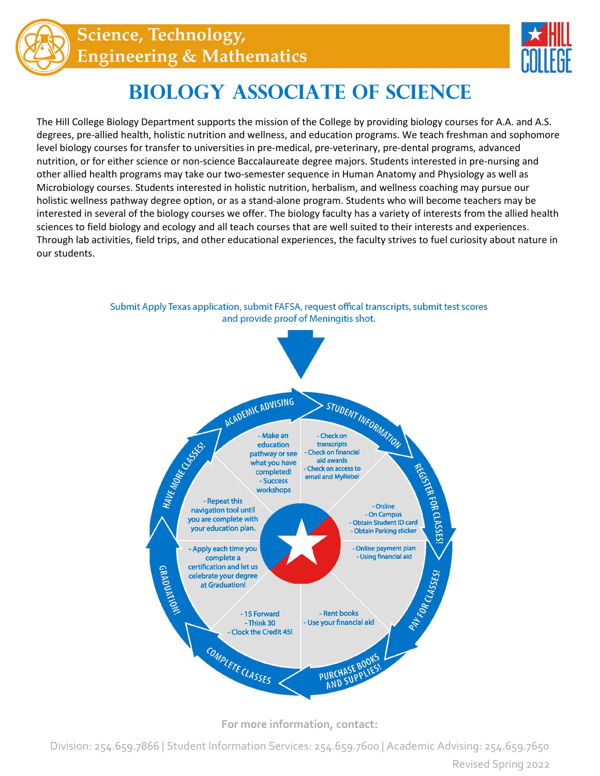



## **Biology Associate of Science**

The Hill College Biology Department supports the mission of the College by providing biology courses for A.A. and A.S. degrees, pre-allied health, holistic nutrition and wellness, and education programs. We teach freshman and sophomore level biology courses for transfer to universities in pre-medical, pre-veterinary, pre-dental programs, advanced nutrition, or for either science or non-science Baccalaureate degree majors. Students interested in pre-nursing and other allied health programs may take our two-semester sequence in Human Anatomy and Physiology as well as Microbiology courses. Students interested in holistic nutrition, herbalism, and wellness coaching may pursue our holistic wellness pathway degree option, or as a stand-alone program. Students who will become teachers may be interested in several of the biology courses we offer. The biology faculty has a variety of interests from the allied health sciences to field biology and ecology and all teach courses that are well suited to their interests and experiences. Through lab activities, field trips, and other educational experiences, the faculty strives to fuel curiosity about nature in our students.



Submit Apply Texas application, submit FAFSA, request offical transcripts, submit test scores and provide proof of Meningitis shot.

**For more information, contact:**

Division: 254.659.7866 | Student Information Services: 254.659.7600 | Academic Advising: 254.659.7650 Revised Spring 2022